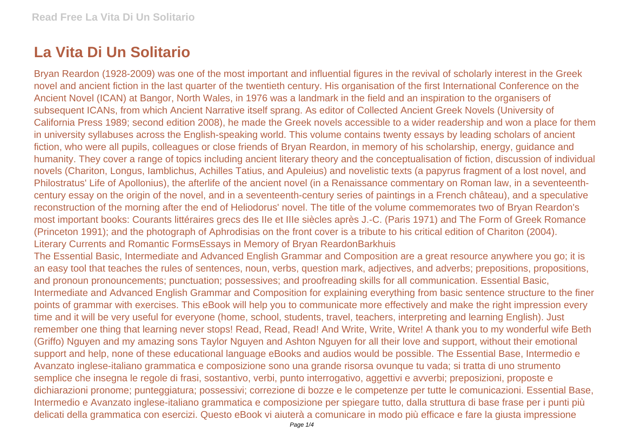## **La Vita Di Un Solitario**

Bryan Reardon (1928-2009) was one of the most important and influential figures in the revival of scholarly interest in the Greek novel and ancient fiction in the last quarter of the twentieth century. His organisation of the first International Conference on the Ancient Novel (ICAN) at Bangor, North Wales, in 1976 was a landmark in the field and an inspiration to the organisers of subsequent ICANs, from which Ancient Narrative itself sprang. As editor of Collected Ancient Greek Novels (University of California Press 1989; second edition 2008), he made the Greek novels accessible to a wider readership and won a place for them in university syllabuses across the English-speaking world. This volume contains twenty essays by leading scholars of ancient fiction, who were all pupils, colleagues or close friends of Bryan Reardon, in memory of his scholarship, energy, guidance and humanity. They cover a range of topics including ancient literary theory and the conceptualisation of fiction, discussion of individual novels (Chariton, Longus, Iamblichus, Achilles Tatius, and Apuleius) and novelistic texts (a papyrus fragment of a lost novel, and Philostratus' Life of Apollonius), the afterlife of the ancient novel (in a Renaissance commentary on Roman law, in a seventeenthcentury essay on the origin of the novel, and in a seventeenth-century series of paintings in a French château), and a speculative reconstruction of the morning after the end of Heliodorus' novel. The title of the volume commemorates two of Bryan Reardon's most important books: Courants littéraires grecs des IIe et IIIe siècles après J.-C. (Paris 1971) and The Form of Greek Romance (Princeton 1991); and the photograph of Aphrodisias on the front cover is a tribute to his critical edition of Chariton (2004). Literary Currents and Romantic FormsEssays in Memory of Bryan ReardonBarkhuis

The Essential Basic, Intermediate and Advanced English Grammar and Composition are a great resource anywhere you go; it is an easy tool that teaches the rules of sentences, noun, verbs, question mark, adjectives, and adverbs; prepositions, propositions, and pronoun pronouncements; punctuation; possessives; and proofreading skills for all communication. Essential Basic, Intermediate and Advanced English Grammar and Composition for explaining everything from basic sentence structure to the finer points of grammar with exercises. This eBook will help you to communicate more effectively and make the right impression every time and it will be very useful for everyone (home, school, students, travel, teachers, interpreting and learning English). Just remember one thing that learning never stops! Read, Read, Read! And Write, Write, Write! A thank you to my wonderful wife Beth (Griffo) Nguyen and my amazing sons Taylor Nguyen and Ashton Nguyen for all their love and support, without their emotional support and help, none of these educational language eBooks and audios would be possible. The Essential Base, Intermedio e Avanzato inglese-italiano grammatica e composizione sono una grande risorsa ovunque tu vada; si tratta di uno strumento semplice che insegna le regole di frasi, sostantivo, verbi, punto interrogativo, aggettivi e avverbi; preposizioni, proposte e dichiarazioni pronome; punteggiatura; possessivi; correzione di bozze e le competenze per tutte le comunicazioni. Essential Base, Intermedio e Avanzato inglese-italiano grammatica e composizione per spiegare tutto, dalla struttura di base frase per i punti più delicati della grammatica con esercizi. Questo eBook vi aiuterà a comunicare in modo più efficace e fare la giusta impressione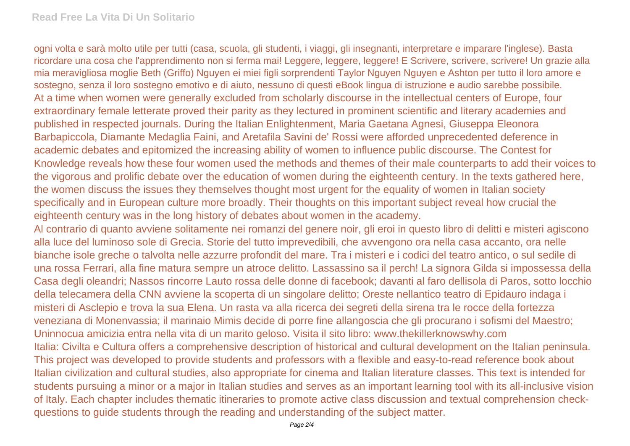ogni volta e sarà molto utile per tutti (casa, scuola, gli studenti, i viaggi, gli insegnanti, interpretare e imparare l'inglese). Basta ricordare una cosa che l'apprendimento non si ferma mai! Leggere, leggere, leggere! E Scrivere, scrivere, scrivere! Un grazie alla mia meravigliosa moglie Beth (Griffo) Nguyen ei miei figli sorprendenti Taylor Nguyen Nguyen e Ashton per tutto il loro amore e sostegno, senza il loro sostegno emotivo e di aiuto, nessuno di questi eBook lingua di istruzione e audio sarebbe possibile. At a time when women were generally excluded from scholarly discourse in the intellectual centers of Europe, four extraordinary female letterate proved their parity as they lectured in prominent scientific and literary academies and published in respected journals. During the Italian Enlightenment, Maria Gaetana Agnesi, Giuseppa Eleonora Barbapiccola, Diamante Medaglia Faini, and Aretafila Savini de' Rossi were afforded unprecedented deference in academic debates and epitomized the increasing ability of women to influence public discourse. The Contest for Knowledge reveals how these four women used the methods and themes of their male counterparts to add their voices to the vigorous and prolific debate over the education of women during the eighteenth century. In the texts gathered here, the women discuss the issues they themselves thought most urgent for the equality of women in Italian society specifically and in European culture more broadly. Their thoughts on this important subject reveal how crucial the eighteenth century was in the long history of debates about women in the academy.

Al contrario di quanto avviene solitamente nei romanzi del genere noir, gli eroi in questo libro di delitti e misteri agiscono alla luce del luminoso sole di Grecia. Storie del tutto imprevedibili, che avvengono ora nella casa accanto, ora nelle bianche isole greche o talvolta nelle azzurre profondit del mare. Tra i misteri e i codici del teatro antico, o sul sedile di una rossa Ferrari, alla fine matura sempre un atroce delitto. Lassassino sa il perch! La signora Gilda si impossessa della Casa degli oleandri; Nassos rincorre Lauto rossa delle donne di facebook; davanti al faro dellisola di Paros, sotto locchio della telecamera della CNN avviene la scoperta di un singolare delitto; Oreste nellantico teatro di Epidauro indaga i misteri di Asclepio e trova la sua Elena. Un rasta va alla ricerca dei segreti della sirena tra le rocce della fortezza veneziana di Monenvassia; il marinaio Mimis decide di porre fine allangoscia che gli procurano i sofismi del Maestro; Uninnocua amicizia entra nella vita di un marito geloso. Visita il sito libro: www.thekillerknowswhy.com Italia: Civilta e Cultura offers a comprehensive description of historical and cultural development on the Italian peninsula. This project was developed to provide students and professors with a flexible and easy-to-read reference book about Italian civilization and cultural studies, also appropriate for cinema and Italian literature classes. This text is intended for students pursuing a minor or a major in Italian studies and serves as an important learning tool with its all-inclusive vision of Italy. Each chapter includes thematic itineraries to promote active class discussion and textual comprehension checkquestions to guide students through the reading and understanding of the subject matter.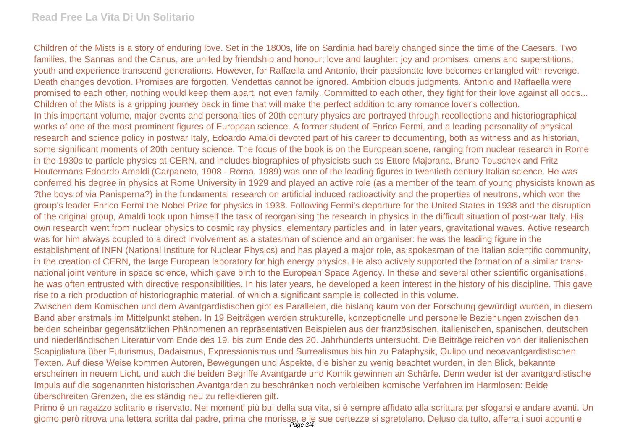## **Read Free La Vita Di Un Solitario**

Children of the Mists is a story of enduring love. Set in the 1800s, life on Sardinia had barely changed since the time of the Caesars. Two families, the Sannas and the Canus, are united by friendship and honour; love and laughter; joy and promises; omens and superstitions; youth and experience transcend generations. However, for Raffaella and Antonio, their passionate love becomes entangled with revenge. Death changes devotion. Promises are forgotten. Vendettas cannot be ignored. Ambition clouds judgments. Antonio and Raffaella were promised to each other, nothing would keep them apart, not even family. Committed to each other, they fight for their love against all odds... Children of the Mists is a gripping journey back in time that will make the perfect addition to any romance lover's collection. In this important volume, major events and personalities of 20th century physics are portrayed through recollections and historiographical works of one of the most prominent figures of European science. A former student of Enrico Fermi, and a leading personality of physical research and science policy in postwar Italy, Edoardo Amaldi devoted part of his career to documenting, both as witness and as historian, some significant moments of 20th century science. The focus of the book is on the European scene, ranging from nuclear research in Rome in the 1930s to particle physics at CERN, and includes biographies of physicists such as Ettore Majorana, Bruno Touschek and Fritz Houtermans.Edoardo Amaldi (Carpaneto, 1908 - Roma, 1989) was one of the leading figures in twentieth century Italian science. He was conferred his degree in physics at Rome University in 1929 and played an active role (as a member of the team of young physicists known as ?the boys of via Panisperna?) in the fundamental research on artificial induced radioactivity and the properties of neutrons, which won the group's leader Enrico Fermi the Nobel Prize for physics in 1938. Following Fermi's departure for the United States in 1938 and the disruption of the original group, Amaldi took upon himself the task of reorganising the research in physics in the difficult situation of post-war Italy. His own research went from nuclear physics to cosmic ray physics, elementary particles and, in later years, gravitational waves. Active research was for him always coupled to a direct involvement as a statesman of science and an organiser: he was the leading figure in the establishment of INFN (National Institute for Nuclear Physics) and has played a major role, as spokesman of the Italian scientific community, in the creation of CERN, the large European laboratory for high energy physics. He also actively supported the formation of a similar transnational joint venture in space science, which gave birth to the European Space Agency. In these and several other scientific organisations, he was often entrusted with directive responsibilities. In his later years, he developed a keen interest in the history of his discipline. This gave rise to a rich production of historiographic material, of which a significant sample is collected in this volume.

Zwischen dem Komischen und dem Avantgardistischen gibt es Parallelen, die bislang kaum von der Forschung gewürdigt wurden, in diesem Band aber erstmals im Mittelpunkt stehen. In 19 Beiträgen werden strukturelle, konzeptionelle und personelle Beziehungen zwischen den beiden scheinbar gegensätzlichen Phänomenen an repräsentativen Beispielen aus der französischen, italienischen, spanischen, deutschen und niederländischen Literatur vom Ende des 19. bis zum Ende des 20. Jahrhunderts untersucht. Die Beiträge reichen von der italienischen Scapigliatura über Futurismus, Dadaismus, Expressionismus und Surrealismus bis hin zu Pataphysik, Oulipo und neoavantgardistischen Texten. Auf diese Weise kommen Autoren, Bewegungen und Aspekte, die bisher zu wenig beachtet wurden, in den Blick, bekannte erscheinen in neuem Licht, und auch die beiden Begriffe Avantgarde und Komik gewinnen an Schärfe. Denn weder ist der avantgardistische Impuls auf die sogenannten historischen Avantgarden zu beschränken noch verbleiben komische Verfahren im Harmlosen: Beide überschreiten Grenzen, die es ständig neu zu reflektieren gilt.

Primo è un ragazzo solitario e riservato. Nei momenti più bui della sua vita, si è sempre affidato alla scrittura per sfogarsi e andare avanti. Un giorno però ritrova una lettera scritta dal padre, prima che morisse, e le sue certezze si sgretolano. Deluso da tutto, afferra i suoi appunti e